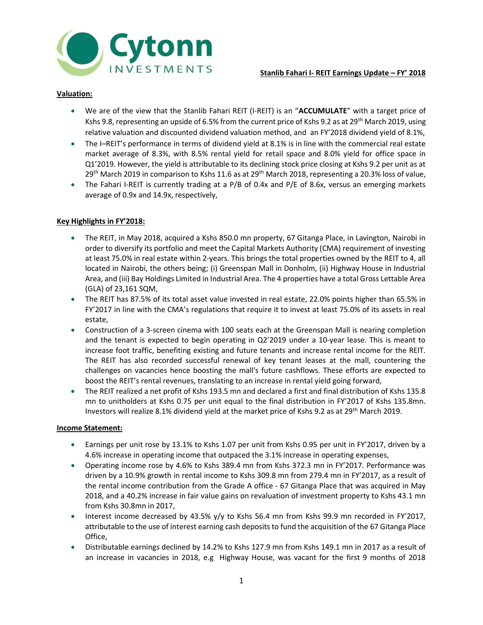

# Valuation:

- We are of the view that the Stanlib Fahari REIT (I-REIT) is an "ACCUMULATE" with a target price of Kshs 9.8, representing an upside of 6.5% from the current price of Kshs 9.2 as at 29<sup>th</sup> March 2019, using relative valuation and discounted dividend valuation method, and an FY'2018 dividend yield of 8.1%,
- The I–REIT's performance in terms of dividend yield at 8.1% is in line with the commercial real estate market average of 8.3%, with 8.5% rental yield for retail space and 8.0% yield for office space in Q1'2019. However, the yield is attributable to its declining stock price closing at Kshs 9.2 per unit as at  $29<sup>th</sup>$  March 2019 in comparison to Kshs 11.6 as at  $29<sup>th</sup>$  March 2018, representing a 20.3% loss of value,
- The Fahari I-REIT is currently trading at a P/B of 0.4x and P/E of 8.6x, versus an emerging markets average of 0.9x and 14.9x, respectively,

# Key Highlights in FY'2018:

- The REIT, in May 2018, acquired a Kshs 850.0 mn property, 67 Gitanga Place, in Lavington, Nairobi in order to diversify its portfolio and meet the Capital Markets Authority (CMA) requirement of investing at least 75.0% in real estate within 2-years. This brings the total properties owned by the REIT to 4, all located in Nairobi, the others being; (i) Greenspan Mall in Donholm, (ii) Highway House in Industrial Area, and (iii) Bay Holdings Limited in Industrial Area. The 4 properties have a total Gross Lettable Area (GLA) of 23,161 SQM,
- The REIT has 87.5% of its total asset value invested in real estate, 22.0% points higher than 65.5% in FY'2017 in line with the CMA's regulations that require it to invest at least 75.0% of its assets in real estate,
- Construction of a 3-screen cinema with 100 seats each at the Greenspan Mall is nearing completion and the tenant is expected to begin operating in Q2'2019 under a 10-year lease. This is meant to increase foot traffic, benefiting existing and future tenants and increase rental income for the REIT. The REIT has also recorded successful renewal of key tenant leases at the mall, countering the challenges on vacancies hence boosting the mall's future cashflows. These efforts are expected to boost the REIT's rental revenues, translating to an increase in rental yield going forward,
- The REIT realized a net profit of Kshs 193.5 mn and declared a first and final distribution of Kshs 135.8 mn to unitholders at Kshs 0.75 per unit equal to the final distribution in FY'2017 of Kshs 135.8mn. Investors will realize 8.1% dividend yield at the market price of Kshs 9.2 as at 29th March 2019.

#### Income Statement:

- Earnings per unit rose by 13.1% to Kshs 1.07 per unit from Kshs 0.95 per unit in FY'2017, driven by a 4.6% increase in operating income that outpaced the 3.1% increase in operating expenses,
- Operating income rose by 4.6% to Kshs 389.4 mn from Kshs 372.3 mn in FY'2017. Performance was driven by a 10.9% growth in rental income to Kshs 309.8 mn from 279.4 mn in FY'2017, as a result of the rental income contribution from the Grade A office - 67 Gitanga Place that was acquired in May 2018, and a 40.2% increase in fair value gains on revaluation of investment property to Kshs 43.1 mn from Kshs 30.8mn in 2017,
- Interest income decreased by 43.5% y/y to Kshs 56.4 mn from Kshs 99.9 mn recorded in FY'2017, attributable to the use of interest earning cash deposits to fund the acquisition of the 67 Gitanga Place Office,
- Distributable earnings declined by 14.2% to Kshs 127.9 mn from Kshs 149.1 mn in 2017 as a result of an increase in vacancies in 2018, e.g Highway House, was vacant for the first 9 months of 2018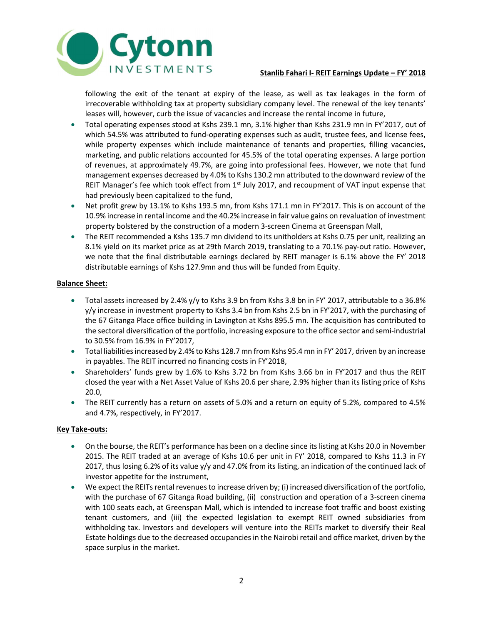

# Stanlib Fahari I- REIT Earnings Update – FY' 2018

following the exit of the tenant at expiry of the lease, as well as tax leakages in the form of irrecoverable withholding tax at property subsidiary company level. The renewal of the key tenants' leases will, however, curb the issue of vacancies and increase the rental income in future,

- Total operating expenses stood at Kshs 239.1 mn, 3.1% higher than Kshs 231.9 mn in FY'2017, out of which 54.5% was attributed to fund-operating expenses such as audit, trustee fees, and license fees, while property expenses which include maintenance of tenants and properties, filling vacancies, marketing, and public relations accounted for 45.5% of the total operating expenses. A large portion of revenues, at approximately 49.7%, are going into professional fees. However, we note that fund management expenses decreased by 4.0% to Kshs 130.2 mn attributed to the downward review of the REIT Manager's fee which took effect from  $1<sup>st</sup>$  July 2017, and recoupment of VAT input expense that had previously been capitalized to the fund,
- Net profit grew by 13.1% to Kshs 193.5 mn, from Kshs 171.1 mn in FY'2017. This is on account of the 10.9% increase in rental income and the 40.2% increase in fair value gains on revaluation of investment property bolstered by the construction of a modern 3-screen Cinema at Greenspan Mall,
- The REIT recommended a Kshs 135.7 mn dividend to its unitholders at Kshs 0.75 per unit, realizing an 8.1% yield on its market price as at 29th March 2019, translating to a 70.1% pay-out ratio. However, we note that the final distributable earnings declared by REIT manager is 6.1% above the FY' 2018 distributable earnings of Kshs 127.9mn and thus will be funded from Equity.

### Balance Sheet:

- Total assets increased by 2.4% y/y to Kshs 3.9 bn from Kshs 3.8 bn in FY' 2017, attributable to a 36.8% y/y increase in investment property to Kshs 3.4 bn from Kshs 2.5 bn in FY'2017, with the purchasing of the 67 Gitanga Place office building in Lavington at Kshs 895.5 mn. The acquisition has contributed to the sectoral diversification of the portfolio, increasing exposure to the office sector and semi-industrial to 30.5% from 16.9% in FY'2017,
- Total liabilities increased by 2.4% to Kshs 128.7 mn from Kshs 95.4 mn in FY' 2017, driven by an increase in payables. The REIT incurred no financing costs in FY'2018,
- Shareholders' funds grew by 1.6% to Kshs 3.72 bn from Kshs 3.66 bn in FY'2017 and thus the REIT closed the year with a Net Asset Value of Kshs 20.6 per share, 2.9% higher than its listing price of Kshs 20.0,
- The REIT currently has a return on assets of 5.0% and a return on equity of 5.2%, compared to 4.5% and 4.7%, respectively, in FY'2017.

#### Key Take-outs:

- On the bourse, the REIT's performance has been on a decline since its listing at Kshs 20.0 in November 2015. The REIT traded at an average of Kshs 10.6 per unit in FY' 2018, compared to Kshs 11.3 in FY 2017, thus losing 6.2% of its value y/y and 47.0% from its listing, an indication of the continued lack of investor appetite for the instrument,
- We expect the REITs rental revenues to increase driven by; (i) increased diversification of the portfolio, with the purchase of 67 Gitanga Road building, (ii) construction and operation of a 3-screen cinema with 100 seats each, at Greenspan Mall, which is intended to increase foot traffic and boost existing tenant customers, and (iii) the expected legislation to exempt REIT owned subsidiaries from withholding tax. Investors and developers will venture into the REITs market to diversify their Real Estate holdings due to the decreased occupancies in the Nairobi retail and office market, driven by the space surplus in the market.